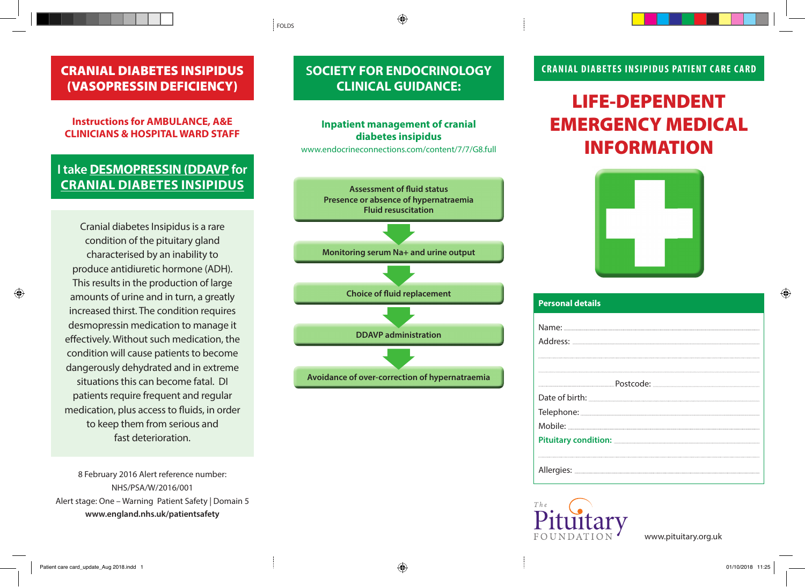## CRANIAL DIABETES INSIPIDUS (VASOPRESSIN DEFICIENCY)

### **Instructions for AMBULANCE, A&E CLINICIANS & HOSPITAL WARD STAFF**

## **I take DESMOPRESSIN (DDAVP for CRANIAL DIABETES INSIPIDUS**

Cranial diabetes Insipidus is a rare condition of the pituitary gland characterised by an inability to produce antidiuretic hormone (ADH). This results in the production of large amounts of urine and in turn, a greatly increased thirst. The condition requires desmopressin medication to manage it effectively. Without such medication, the condition will cause patients to become dangerously dehydrated and in extreme situations this can become fatal. DI patients require frequent and regular medication, plus access to fluids, in order to keep them from serious and fast deterioration.

8 February 2016 Alert reference number: NHS/PSA/W/2016/001 Alert stage: One – Warning Patient Safety | Domain 5 **www.england.nhs.uk/patientsafety**

# **SOCIETY FOR ENDOCRINOLOGY CLINICAL GUIDANCE:**

FOLDS

### **Inpatient management of cranial diabetes insipidus**

www.endocrineconnections.com/content/7/7/G8.full



### **CRANIAL DIABETES INSIPIDUS PATIENT CARE CARD**

# LIFE-DEPENDENT EMERGENCY MEDICAL INFORMATION



| <b>Personal details</b> |
|-------------------------|
|                         |
|                         |
|                         |
|                         |
|                         |
|                         |
|                         |
|                         |
|                         |
|                         |
|                         |
|                         |



www.pituitary.org.uk

⊕